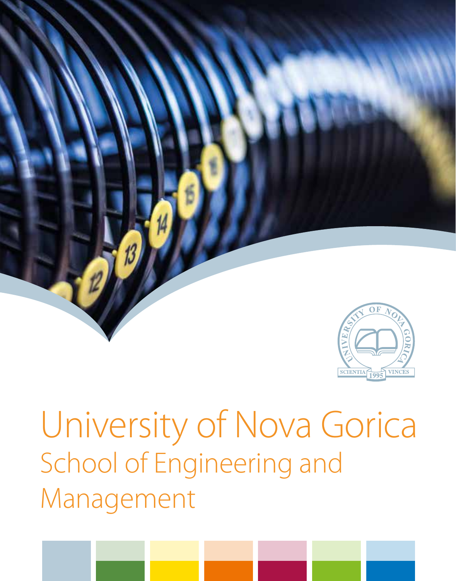

# University of Nova Gorica School of Engineering and Management

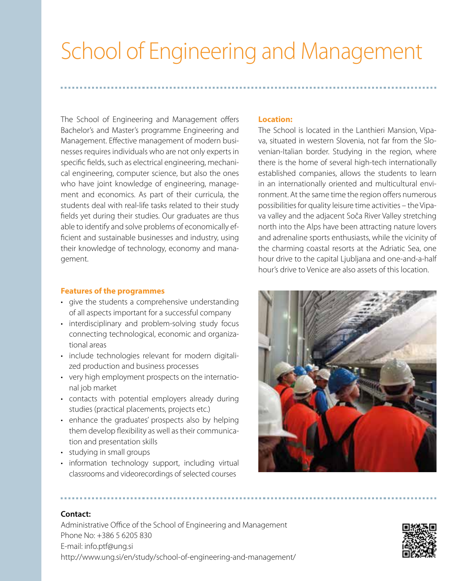# School of Engineering and Management

The School of Engineering and Management offers Bachelor's and Master's programme Engineering and Management. Effective management of modern businesses requires individuals who are not only experts in specific fields, such as electrical engineering, mechanical engineering, computer science, but also the ones who have joint knowledge of engineering, management and economics. As part of their curricula, the students deal with real-life tasks related to their study fields yet during their studies. Our graduates are thus able to identify and solve problems of economically efficient and sustainable businesses and industry, using their knowledge of technology, economy and management.

#### **Features of the programmes**

- give the students a comprehensive understanding of all aspects important for a successful company
- interdisciplinary and problem-solving study focus connecting technological, economic and organizational areas
- include technologies relevant for modern digitalized production and business processes
- very high employment prospects on the international job market
- • contacts with potential employers already during studies (practical placements, projects etc.)
- enhance the graduates' prospects also by helping them develop flexibility as well as their communication and presentation skills
- • studying in small groups
- information technology support, including virtual classrooms and videorecordings of selected courses

#### **Location:**

The School is located in the Lanthieri Mansion, Vipava, situated in western Slovenia, not far from the Slovenian-Italian border. Studying in the region, where there is the home of several high-tech internationally established companies, allows the students to learn in an internationally oriented and multicultural environment. At the same time the region offers numerous possibilities for quality leisure time activities – the Vipava valley and the adjacent Soča River Valley stretching north into the Alps have been attracting nature lovers and adrenaline sports enthusiasts, while the vicinity of the charming coastal resorts at the Adriatic Sea, one hour drive to the capital Ljubljana and one-and-a-half hour's drive to Venice are also assets of this location.



#### **Contact:**

Administrative Office of the School of Engineering and Management Phone No: +386 5 6205 830 E-mail: info.ptf@ung.si http://www.ung.si/en/study/school-of-engineering-and-management/

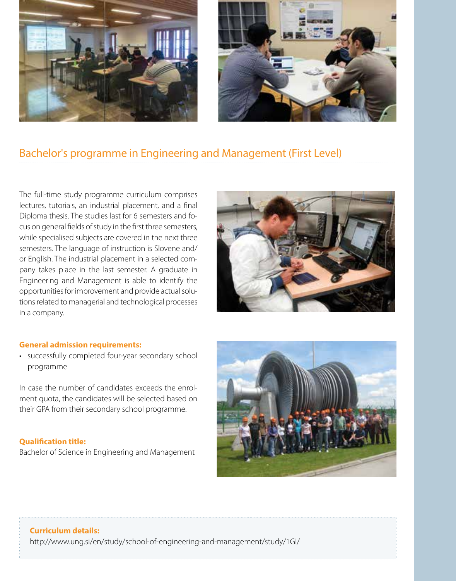



## Bachelor's programme in Engineering and Management (First Level)

The full-time study programme curriculum comprises lectures, tutorials, an industrial placement, and a final Diploma thesis. The studies last for 6 semesters and focus on general fields of study in the first three semesters, while specialised subjects are covered in the next three semesters. The language of instruction is Slovene and/ or English. The industrial placement in a selected company takes place in the last semester. A graduate in Engineering and Management is able to identify the opportunities for improvement and provide actual solutions related to managerial and technological processes in a company.



#### **General admission requirements:**

• successfully completed four-year secondary school programme

In case the number of candidates exceeds the enrolment quota, the candidates will be selected based on their GPA from their secondary school programme.

#### **Qualification title:**

Bachelor of Science in Engineering and Management



# **Curriculum details:**

http://www.ung.si/en/study/school-of-engineering-and-management/study/1GI/